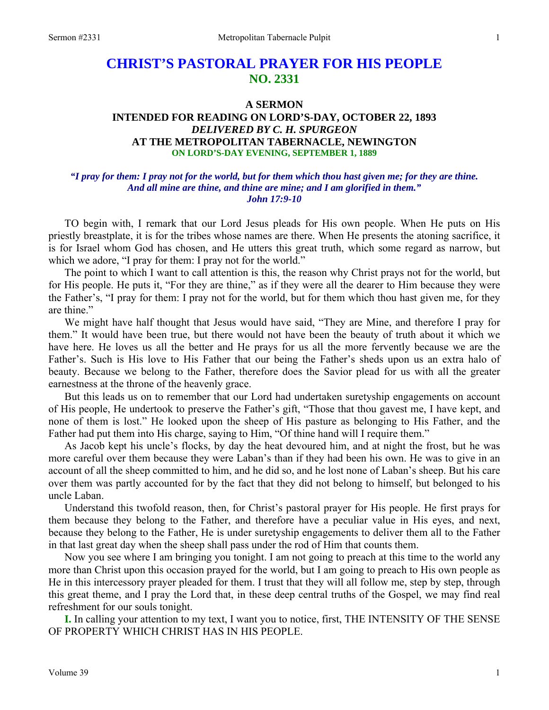# **CHRIST'S PASTORAL PRAYER FOR HIS PEOPLE NO. 2331**

# **A SERMON**

# **INTENDED FOR READING ON LORD'S-DAY, OCTOBER 22, 1893**  *DELIVERED BY C. H. SPURGEON*  **AT THE METROPOLITAN TABERNACLE, NEWINGTON ON LORD'S-DAY EVENING, SEPTEMBER 1, 1889**

#### *"I pray for them: I pray not for the world, but for them which thou hast given me; for they are thine. And all mine are thine, and thine are mine; and I am glorified in them." John 17:9-10*

TO begin with, I remark that our Lord Jesus pleads for His own people. When He puts on His priestly breastplate, it is for the tribes whose names are there. When He presents the atoning sacrifice, it is for Israel whom God has chosen, and He utters this great truth, which some regard as narrow, but which we adore, "I pray for them: I pray not for the world."

The point to which I want to call attention is this, the reason why Christ prays not for the world, but for His people. He puts it, "For they are thine," as if they were all the dearer to Him because they were the Father's, "I pray for them: I pray not for the world, but for them which thou hast given me, for they are thine."

We might have half thought that Jesus would have said, "They are Mine, and therefore I pray for them." It would have been true, but there would not have been the beauty of truth about it which we have here. He loves us all the better and He prays for us all the more fervently because we are the Father's. Such is His love to His Father that our being the Father's sheds upon us an extra halo of beauty. Because we belong to the Father, therefore does the Savior plead for us with all the greater earnestness at the throne of the heavenly grace.

But this leads us on to remember that our Lord had undertaken suretyship engagements on account of His people, He undertook to preserve the Father's gift, "Those that thou gavest me, I have kept, and none of them is lost." He looked upon the sheep of His pasture as belonging to His Father, and the Father had put them into His charge, saying to Him, "Of thine hand will I require them."

As Jacob kept his uncle's flocks, by day the heat devoured him, and at night the frost, but he was more careful over them because they were Laban's than if they had been his own. He was to give in an account of all the sheep committed to him, and he did so, and he lost none of Laban's sheep. But his care over them was partly accounted for by the fact that they did not belong to himself, but belonged to his uncle Laban.

Understand this twofold reason, then, for Christ's pastoral prayer for His people. He first prays for them because they belong to the Father, and therefore have a peculiar value in His eyes, and next, because they belong to the Father, He is under suretyship engagements to deliver them all to the Father in that last great day when the sheep shall pass under the rod of Him that counts them.

Now you see where I am bringing you tonight. I am not going to preach at this time to the world any more than Christ upon this occasion prayed for the world, but I am going to preach to His own people as He in this intercessory prayer pleaded for them. I trust that they will all follow me, step by step, through this great theme, and I pray the Lord that, in these deep central truths of the Gospel, we may find real refreshment for our souls tonight.

**I.** In calling your attention to my text, I want you to notice, first, THE INTENSITY OF THE SENSE OF PROPERTY WHICH CHRIST HAS IN HIS PEOPLE.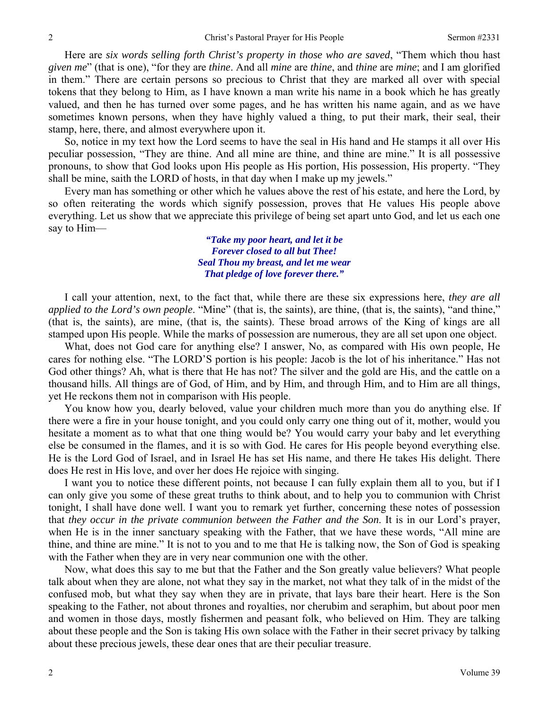Here are *six words selling forth Christ's property in those who are saved*, "Them which thou hast *given me*" (that is one), "for they are *thine*. And all *mine* are *thine*, and *thine* are *mine*; and I am glorified in them." There are certain persons so precious to Christ that they are marked all over with special tokens that they belong to Him, as I have known a man write his name in a book which he has greatly valued, and then he has turned over some pages, and he has written his name again, and as we have sometimes known persons, when they have highly valued a thing, to put their mark, their seal, their stamp, here, there, and almost everywhere upon it.

So, notice in my text how the Lord seems to have the seal in His hand and He stamps it all over His peculiar possession, "They are thine. And all mine are thine, and thine are mine." It is all possessive pronouns, to show that God looks upon His people as His portion, His possession, His property. "They shall be mine, saith the LORD of hosts, in that day when I make up my jewels."

Every man has something or other which he values above the rest of his estate, and here the Lord, by so often reiterating the words which signify possession, proves that He values His people above everything. Let us show that we appreciate this privilege of being set apart unto God, and let us each one say to Him—

> *"Take my poor heart, and let it be Forever closed to all but Thee! Seal Thou my breast, and let me wear That pledge of love forever there."*

I call your attention, next, to the fact that, while there are these six expressions here, *they are all applied to the Lord's own people*. "Mine" (that is, the saints), are thine, (that is, the saints), "and thine," (that is, the saints), are mine, (that is, the saints). These broad arrows of the King of kings are all stamped upon His people. While the marks of possession are numerous, they are all set upon one object.

What, does not God care for anything else? I answer, No, as compared with His own people, He cares for nothing else. "The LORD'S portion is his people: Jacob is the lot of his inheritance." Has not God other things? Ah, what is there that He has not? The silver and the gold are His, and the cattle on a thousand hills. All things are of God, of Him, and by Him, and through Him, and to Him are all things, yet He reckons them not in comparison with His people.

You know how you, dearly beloved, value your children much more than you do anything else. If there were a fire in your house tonight, and you could only carry one thing out of it, mother, would you hesitate a moment as to what that one thing would be? You would carry your baby and let everything else be consumed in the flames, and it is so with God. He cares for His people beyond everything else. He is the Lord God of Israel, and in Israel He has set His name, and there He takes His delight. There does He rest in His love, and over her does He rejoice with singing.

I want you to notice these different points, not because I can fully explain them all to you, but if I can only give you some of these great truths to think about, and to help you to communion with Christ tonight, I shall have done well. I want you to remark yet further, concerning these notes of possession that *they occur in the private communion between the Father and the Son*. It is in our Lord's prayer, when He is in the inner sanctuary speaking with the Father, that we have these words, "All mine are thine, and thine are mine." It is not to you and to me that He is talking now, the Son of God is speaking with the Father when they are in very near communion one with the other.

Now, what does this say to me but that the Father and the Son greatly value believers? What people talk about when they are alone, not what they say in the market, not what they talk of in the midst of the confused mob, but what they say when they are in private, that lays bare their heart. Here is the Son speaking to the Father, not about thrones and royalties, nor cherubim and seraphim, but about poor men and women in those days, mostly fishermen and peasant folk, who believed on Him. They are talking about these people and the Son is taking His own solace with the Father in their secret privacy by talking about these precious jewels, these dear ones that are their peculiar treasure.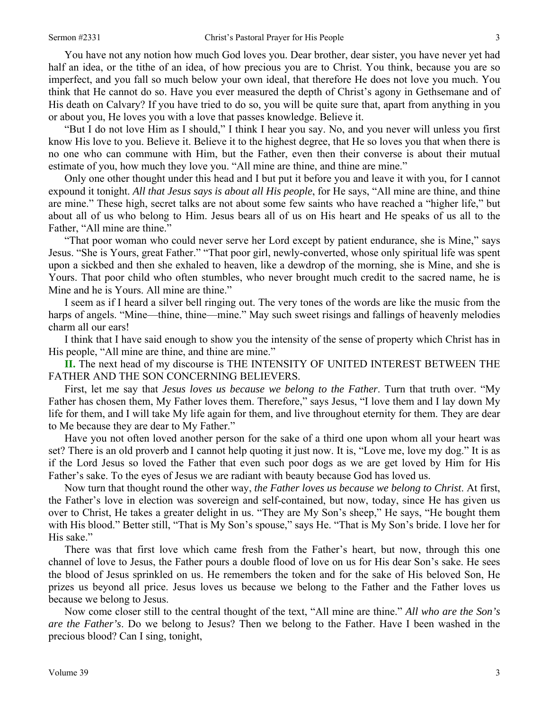You have not any notion how much God loves you. Dear brother, dear sister, you have never yet had half an idea, or the tithe of an idea, of how precious you are to Christ. You think, because you are so imperfect, and you fall so much below your own ideal, that therefore He does not love you much. You think that He cannot do so. Have you ever measured the depth of Christ's agony in Gethsemane and of His death on Calvary? If you have tried to do so, you will be quite sure that, apart from anything in you or about you, He loves you with a love that passes knowledge. Believe it.

"But I do not love Him as I should," I think I hear you say. No, and you never will unless you first know His love to you. Believe it. Believe it to the highest degree, that He so loves you that when there is no one who can commune with Him, but the Father, even then their converse is about their mutual estimate of you, how much they love you. "All mine are thine, and thine are mine."

Only one other thought under this head and I but put it before you and leave it with you, for I cannot expound it tonight. *All that Jesus says is about all His people*, for He says, "All mine are thine, and thine are mine." These high, secret talks are not about some few saints who have reached a "higher life," but about all of us who belong to Him. Jesus bears all of us on His heart and He speaks of us all to the Father, "All mine are thine."

"That poor woman who could never serve her Lord except by patient endurance, she is Mine," says Jesus. "She is Yours, great Father." "That poor girl, newly-converted, whose only spiritual life was spent upon a sickbed and then she exhaled to heaven, like a dewdrop of the morning, she is Mine, and she is Yours. That poor child who often stumbles, who never brought much credit to the sacred name, he is Mine and he is Yours. All mine are thine."

I seem as if I heard a silver bell ringing out. The very tones of the words are like the music from the harps of angels. "Mine—thine, thine—mine." May such sweet risings and fallings of heavenly melodies charm all our ears!

I think that I have said enough to show you the intensity of the sense of property which Christ has in His people, "All mine are thine, and thine are mine."

**II.** The next head of my discourse is THE INTENSITY OF UNITED INTEREST BETWEEN THE FATHER AND THE SON CONCERNING BELIEVERS.

First, let me say that *Jesus loves us because we belong to the Father*. Turn that truth over. "My Father has chosen them, My Father loves them. Therefore," says Jesus, "I love them and I lay down My life for them, and I will take My life again for them, and live throughout eternity for them. They are dear to Me because they are dear to My Father."

Have you not often loved another person for the sake of a third one upon whom all your heart was set? There is an old proverb and I cannot help quoting it just now. It is, "Love me, love my dog." It is as if the Lord Jesus so loved the Father that even such poor dogs as we are get loved by Him for His Father's sake. To the eyes of Jesus we are radiant with beauty because God has loved us.

Now turn that thought round the other way, *the Father loves us because we belong to Christ*. At first, the Father's love in election was sovereign and self-contained, but now, today, since He has given us over to Christ, He takes a greater delight in us. "They are My Son's sheep," He says, "He bought them with His blood." Better still, "That is My Son's spouse," says He. "That is My Son's bride. I love her for His sake."

There was that first love which came fresh from the Father's heart, but now, through this one channel of love to Jesus, the Father pours a double flood of love on us for His dear Son's sake. He sees the blood of Jesus sprinkled on us. He remembers the token and for the sake of His beloved Son, He prizes us beyond all price. Jesus loves us because we belong to the Father and the Father loves us because we belong to Jesus.

Now come closer still to the central thought of the text, "All mine are thine." *All who are the Son's are the Father's*. Do we belong to Jesus? Then we belong to the Father. Have I been washed in the precious blood? Can I sing, tonight,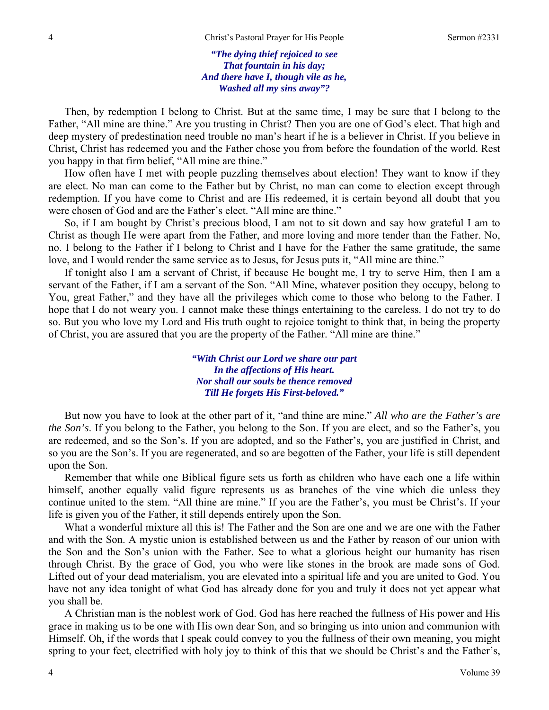*"The dying thief rejoiced to see That fountain in his day; And there have I, though vile as he, Washed all my sins away"?* 

Then, by redemption I belong to Christ. But at the same time, I may be sure that I belong to the Father, "All mine are thine." Are you trusting in Christ? Then you are one of God's elect. That high and deep mystery of predestination need trouble no man's heart if he is a believer in Christ. If you believe in Christ, Christ has redeemed you and the Father chose you from before the foundation of the world. Rest you happy in that firm belief, "All mine are thine."

How often have I met with people puzzling themselves about election! They want to know if they are elect. No man can come to the Father but by Christ, no man can come to election except through redemption. If you have come to Christ and are His redeemed, it is certain beyond all doubt that you were chosen of God and are the Father's elect. "All mine are thine."

So, if I am bought by Christ's precious blood, I am not to sit down and say how grateful I am to Christ as though He were apart from the Father, and more loving and more tender than the Father. No, no. I belong to the Father if I belong to Christ and I have for the Father the same gratitude, the same love, and I would render the same service as to Jesus, for Jesus puts it, "All mine are thine."

If tonight also I am a servant of Christ, if because He bought me, I try to serve Him, then I am a servant of the Father, if I am a servant of the Son. "All Mine, whatever position they occupy, belong to You, great Father," and they have all the privileges which come to those who belong to the Father. I hope that I do not weary you. I cannot make these things entertaining to the careless. I do not try to do so. But you who love my Lord and His truth ought to rejoice tonight to think that, in being the property of Christ, you are assured that you are the property of the Father. "All mine are thine."

> *"With Christ our Lord we share our part In the affections of His heart. Nor shall our souls be thence removed Till He forgets His First-beloved."*

But now you have to look at the other part of it, "and thine are mine." *All who are the Father's are the Son's*. If you belong to the Father, you belong to the Son. If you are elect, and so the Father's, you are redeemed, and so the Son's. If you are adopted, and so the Father's, you are justified in Christ, and so you are the Son's. If you are regenerated, and so are begotten of the Father, your life is still dependent upon the Son.

Remember that while one Biblical figure sets us forth as children who have each one a life within himself, another equally valid figure represents us as branches of the vine which die unless they continue united to the stem. "All thine are mine." If you are the Father's, you must be Christ's. If your life is given you of the Father, it still depends entirely upon the Son.

What a wonderful mixture all this is! The Father and the Son are one and we are one with the Father and with the Son. A mystic union is established between us and the Father by reason of our union with the Son and the Son's union with the Father. See to what a glorious height our humanity has risen through Christ. By the grace of God, you who were like stones in the brook are made sons of God. Lifted out of your dead materialism, you are elevated into a spiritual life and you are united to God. You have not any idea tonight of what God has already done for you and truly it does not yet appear what you shall be.

A Christian man is the noblest work of God. God has here reached the fullness of His power and His grace in making us to be one with His own dear Son, and so bringing us into union and communion with Himself. Oh, if the words that I speak could convey to you the fullness of their own meaning, you might spring to your feet, electrified with holy joy to think of this that we should be Christ's and the Father's,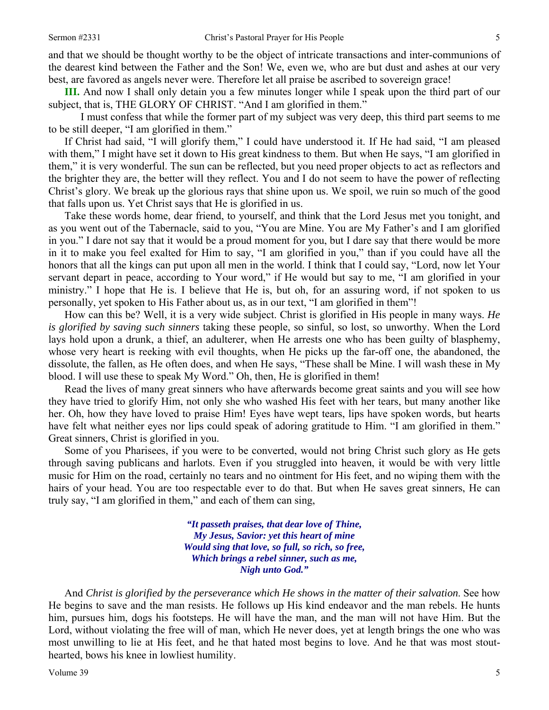and that we should be thought worthy to be the object of intricate transactions and inter-communions of the dearest kind between the Father and the Son! We, even we, who are but dust and ashes at our very best, are favored as angels never were. Therefore let all praise be ascribed to sovereign grace!

**III.** And now I shall only detain you a few minutes longer while I speak upon the third part of our subject, that is, THE GLORY OF CHRIST. "And I am glorified in them."

 I must confess that while the former part of my subject was very deep, this third part seems to me to be still deeper, "I am glorified in them."

If Christ had said, "I will glorify them," I could have understood it. If He had said, "I am pleased with them," I might have set it down to His great kindness to them. But when He says, "I am glorified in them," it is very wonderful. The sun can be reflected, but you need proper objects to act as reflectors and the brighter they are, the better will they reflect. You and I do not seem to have the power of reflecting Christ's glory. We break up the glorious rays that shine upon us. We spoil, we ruin so much of the good that falls upon us. Yet Christ says that He is glorified in us.

Take these words home, dear friend, to yourself, and think that the Lord Jesus met you tonight, and as you went out of the Tabernacle, said to you, "You are Mine. You are My Father's and I am glorified in you." I dare not say that it would be a proud moment for you, but I dare say that there would be more in it to make you feel exalted for Him to say, "I am glorified in you," than if you could have all the honors that all the kings can put upon all men in the world. I think that I could say, "Lord, now let Your servant depart in peace, according to Your word," if He would but say to me, "I am glorified in your ministry." I hope that He is. I believe that He is, but oh, for an assuring word, if not spoken to us personally, yet spoken to His Father about us, as in our text, "I am glorified in them"!

How can this be? Well, it is a very wide subject. Christ is glorified in His people in many ways. *He is glorified by saving such sinners* taking these people, so sinful, so lost, so unworthy. When the Lord lays hold upon a drunk, a thief, an adulterer, when He arrests one who has been guilty of blasphemy, whose very heart is reeking with evil thoughts, when He picks up the far-off one, the abandoned, the dissolute, the fallen, as He often does, and when He says, "These shall be Mine. I will wash these in My blood. I will use these to speak My Word." Oh, then, He is glorified in them!

Read the lives of many great sinners who have afterwards become great saints and you will see how they have tried to glorify Him, not only she who washed His feet with her tears, but many another like her. Oh, how they have loved to praise Him! Eyes have wept tears, lips have spoken words, but hearts have felt what neither eyes nor lips could speak of adoring gratitude to Him. "I am glorified in them." Great sinners, Christ is glorified in you.

Some of you Pharisees, if you were to be converted, would not bring Christ such glory as He gets through saving publicans and harlots. Even if you struggled into heaven, it would be with very little music for Him on the road, certainly no tears and no ointment for His feet, and no wiping them with the hairs of your head. You are too respectable ever to do that. But when He saves great sinners, He can truly say, "I am glorified in them," and each of them can sing,

> *"It passeth praises, that dear love of Thine, My Jesus, Savior: yet this heart of mine Would sing that love, so full, so rich, so free, Which brings a rebel sinner, such as me, Nigh unto God."*

And *Christ is glorified by the perseverance which He shows in the matter of their salvation*. See how He begins to save and the man resists. He follows up His kind endeavor and the man rebels. He hunts him, pursues him, dogs his footsteps. He will have the man, and the man will not have Him. But the Lord, without violating the free will of man, which He never does, yet at length brings the one who was most unwilling to lie at His feet, and he that hated most begins to love. And he that was most stouthearted, bows his knee in lowliest humility.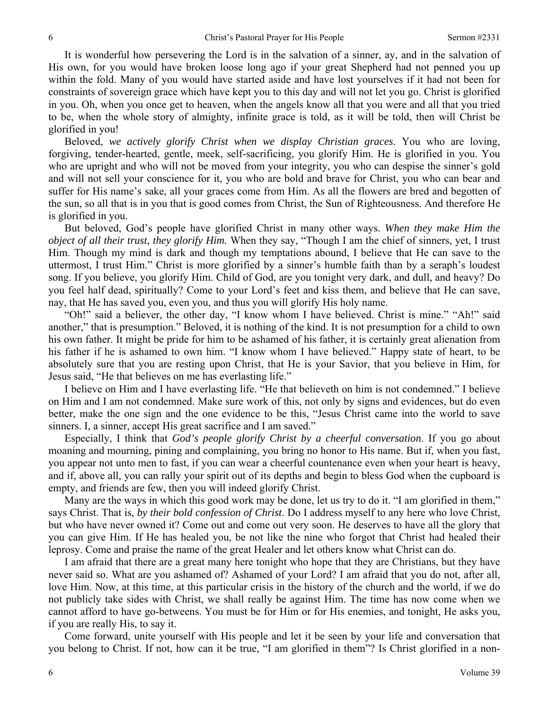It is wonderful how persevering the Lord is in the salvation of a sinner, ay, and in the salvation of His own, for you would have broken loose long ago if your great Shepherd had not penned you up within the fold. Many of you would have started aside and have lost yourselves if it had not been for constraints of sovereign grace which have kept you to this day and will not let you go. Christ is glorified in you. Oh, when you once get to heaven, when the angels know all that you were and all that you tried to be, when the whole story of almighty, infinite grace is told, as it will be told, then will Christ be glorified in you!

Beloved, *we actively glorify Christ when we display Christian graces*. You who are loving, forgiving, tender-hearted, gentle, meek, self-sacrificing, you glorify Him. He is glorified in you. You who are upright and who will not be moved from your integrity, you who can despise the sinner's gold and will not sell your conscience for it, you who are bold and brave for Christ, you who can bear and suffer for His name's sake, all your graces come from Him. As all the flowers are bred and begotten of the sun, so all that is in you that is good comes from Christ, the Sun of Righteousness. And therefore He is glorified in you.

But beloved, God's people have glorified Christ in many other ways. *When they make Him the object of all their trust, they glorify Him.* When they say, "Though I am the chief of sinners, yet, I trust Him. Though my mind is dark and though my temptations abound, I believe that He can save to the uttermost, I trust Him." Christ is more glorified by a sinner's humble faith than by a seraph's loudest song. If you believe, you glorify Him. Child of God, are you tonight very dark, and dull, and heavy? Do you feel half dead, spiritually? Come to your Lord's feet and kiss them, and believe that He can save, nay, that He has saved you, even you, and thus you will glorify His holy name.

"Oh!" said a believer, the other day, "I know whom I have believed. Christ is mine." "Ah!" said another," that is presumption." Beloved, it is nothing of the kind. It is not presumption for a child to own his own father. It might be pride for him to be ashamed of his father, it is certainly great alienation from his father if he is ashamed to own him. "I know whom I have believed." Happy state of heart, to be absolutely sure that you are resting upon Christ, that He is your Savior, that you believe in Him, for Jesus said, "He that believes on me has everlasting life."

I believe on Him and I have everlasting life. "He that believeth on him is not condemned." I believe on Him and I am not condemned. Make sure work of this, not only by signs and evidences, but do even better, make the one sign and the one evidence to be this, "Jesus Christ came into the world to save sinners. I, a sinner, accept His great sacrifice and I am saved."

Especially, I think that *God's people glorify Christ by a cheerful conversation*. If you go about moaning and mourning, pining and complaining, you bring no honor to His name. But if, when you fast, you appear not unto men to fast, if you can wear a cheerful countenance even when your heart is heavy, and if, above all, you can rally your spirit out of its depths and begin to bless God when the cupboard is empty, and friends are few, then you will indeed glorify Christ.

Many are the ways in which this good work may be done, let us try to do it. "I am glorified in them," says Christ. That is, *by their bold confession of Christ*. Do I address myself to any here who love Christ, but who have never owned it? Come out and come out very soon. He deserves to have all the glory that you can give Him. If He has healed you, be not like the nine who forgot that Christ had healed their leprosy. Come and praise the name of the great Healer and let others know what Christ can do.

I am afraid that there are a great many here tonight who hope that they are Christians, but they have never said so. What are you ashamed of? Ashamed of your Lord? I am afraid that you do not, after all, love Him. Now, at this time, at this particular crisis in the history of the church and the world, if we do not publicly take sides with Christ, we shall really be against Him. The time has now come when we cannot afford to have go-betweens. You must be for Him or for His enemies, and tonight, He asks you, if you are really His, to say it.

Come forward, unite yourself with His people and let it be seen by your life and conversation that you belong to Christ. If not, how can it be true, "I am glorified in them"? Is Christ glorified in a non-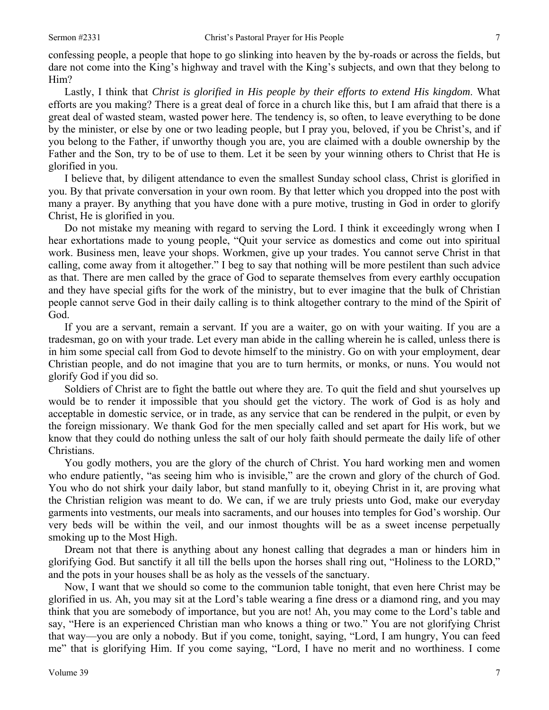confessing people, a people that hope to go slinking into heaven by the by-roads or across the fields, but dare not come into the King's highway and travel with the King's subjects, and own that they belong to Him?

Lastly, I think that *Christ is glorified in His people by their efforts to extend His kingdom*. What efforts are you making? There is a great deal of force in a church like this, but I am afraid that there is a great deal of wasted steam, wasted power here. The tendency is, so often, to leave everything to be done by the minister, or else by one or two leading people, but I pray you, beloved, if you be Christ's, and if you belong to the Father, if unworthy though you are, you are claimed with a double ownership by the Father and the Son, try to be of use to them. Let it be seen by your winning others to Christ that He is glorified in you.

I believe that, by diligent attendance to even the smallest Sunday school class, Christ is glorified in you. By that private conversation in your own room. By that letter which you dropped into the post with many a prayer. By anything that you have done with a pure motive, trusting in God in order to glorify Christ, He is glorified in you.

Do not mistake my meaning with regard to serving the Lord. I think it exceedingly wrong when I hear exhortations made to young people, "Quit your service as domestics and come out into spiritual work. Business men, leave your shops. Workmen, give up your trades. You cannot serve Christ in that calling, come away from it altogether." I beg to say that nothing will be more pestilent than such advice as that. There are men called by the grace of God to separate themselves from every earthly occupation and they have special gifts for the work of the ministry, but to ever imagine that the bulk of Christian people cannot serve God in their daily calling is to think altogether contrary to the mind of the Spirit of God.

If you are a servant, remain a servant. If you are a waiter, go on with your waiting. If you are a tradesman, go on with your trade. Let every man abide in the calling wherein he is called, unless there is in him some special call from God to devote himself to the ministry. Go on with your employment, dear Christian people, and do not imagine that you are to turn hermits, or monks, or nuns. You would not glorify God if you did so.

Soldiers of Christ are to fight the battle out where they are. To quit the field and shut yourselves up would be to render it impossible that you should get the victory. The work of God is as holy and acceptable in domestic service, or in trade, as any service that can be rendered in the pulpit, or even by the foreign missionary. We thank God for the men specially called and set apart for His work, but we know that they could do nothing unless the salt of our holy faith should permeate the daily life of other Christians.

You godly mothers, you are the glory of the church of Christ. You hard working men and women who endure patiently, "as seeing him who is invisible," are the crown and glory of the church of God. You who do not shirk your daily labor, but stand manfully to it, obeying Christ in it, are proving what the Christian religion was meant to do. We can, if we are truly priests unto God, make our everyday garments into vestments, our meals into sacraments, and our houses into temples for God's worship. Our very beds will be within the veil, and our inmost thoughts will be as a sweet incense perpetually smoking up to the Most High.

Dream not that there is anything about any honest calling that degrades a man or hinders him in glorifying God. But sanctify it all till the bells upon the horses shall ring out, "Holiness to the LORD," and the pots in your houses shall be as holy as the vessels of the sanctuary.

Now, I want that we should so come to the communion table tonight, that even here Christ may be glorified in us. Ah, you may sit at the Lord's table wearing a fine dress or a diamond ring, and you may think that you are somebody of importance, but you are not! Ah, you may come to the Lord's table and say, "Here is an experienced Christian man who knows a thing or two." You are not glorifying Christ that way—you are only a nobody. But if you come, tonight, saying, "Lord, I am hungry, You can feed me" that is glorifying Him. If you come saying, "Lord, I have no merit and no worthiness. I come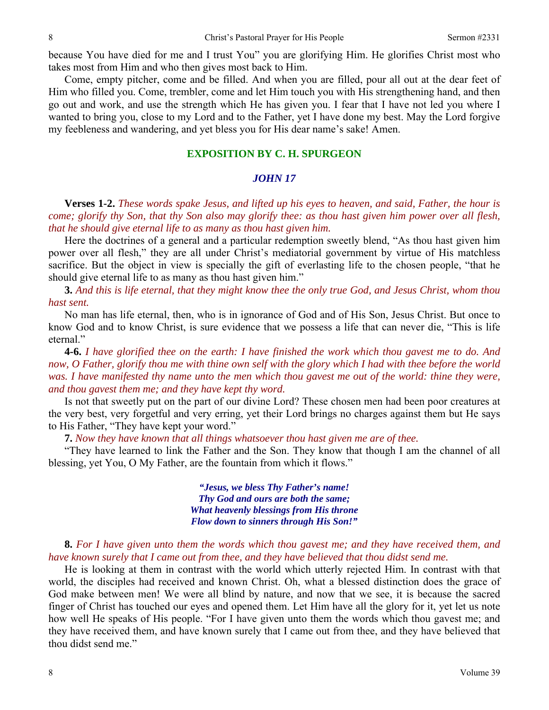because You have died for me and I trust You" you are glorifying Him. He glorifies Christ most who takes most from Him and who then gives most back to Him.

Come, empty pitcher, come and be filled. And when you are filled, pour all out at the dear feet of Him who filled you. Come, trembler, come and let Him touch you with His strengthening hand, and then go out and work, and use the strength which He has given you. I fear that I have not led you where I wanted to bring you, close to my Lord and to the Father, yet I have done my best. May the Lord forgive my feebleness and wandering, and yet bless you for His dear name's sake! Amen.

## **EXPOSITION BY C. H. SPURGEON**

## *JOHN 17*

**Verses 1-2.** *These words spake Jesus, and lifted up his eyes to heaven, and said, Father, the hour is come; glorify thy Son, that thy Son also may glorify thee: as thou hast given him power over all flesh, that he should give eternal life to as many as thou hast given him.*

Here the doctrines of a general and a particular redemption sweetly blend, "As thou hast given him power over all flesh," they are all under Christ's mediatorial government by virtue of His matchless sacrifice. But the object in view is specially the gift of everlasting life to the chosen people, "that he should give eternal life to as many as thou hast given him."

**3.** *And this is life eternal, that they might know thee the only true God, and Jesus Christ, whom thou hast sent.*

No man has life eternal, then, who is in ignorance of God and of His Son, Jesus Christ. But once to know God and to know Christ, is sure evidence that we possess a life that can never die, "This is life eternal."

**4-6.** *I have glorified thee on the earth: I have finished the work which thou gavest me to do. And now, O Father, glorify thou me with thine own self with the glory which I had with thee before the world*  was. I have manifested thy name unto the men which thou gavest me out of the world: thine they were, *and thou gavest them me; and they have kept thy word.*

Is not that sweetly put on the part of our divine Lord? These chosen men had been poor creatures at the very best, very forgetful and very erring, yet their Lord brings no charges against them but He says to His Father, "They have kept your word."

**7.** *Now they have known that all things whatsoever thou hast given me are of thee.* 

"They have learned to link the Father and the Son. They know that though I am the channel of all blessing, yet You, O My Father, are the fountain from which it flows."

> *"Jesus, we bless Thy Father's name! Thy God and ours are both the same; What heavenly blessings from His throne Flow down to sinners through His Son!"*

**8.** *For I have given unto them the words which thou gavest me; and they have received them, and have known surely that I came out from thee, and they have believed that thou didst send me.*

He is looking at them in contrast with the world which utterly rejected Him. In contrast with that world, the disciples had received and known Christ. Oh, what a blessed distinction does the grace of God make between men! We were all blind by nature, and now that we see, it is because the sacred finger of Christ has touched our eyes and opened them. Let Him have all the glory for it, yet let us note how well He speaks of His people. "For I have given unto them the words which thou gavest me; and they have received them, and have known surely that I came out from thee, and they have believed that thou didst send me."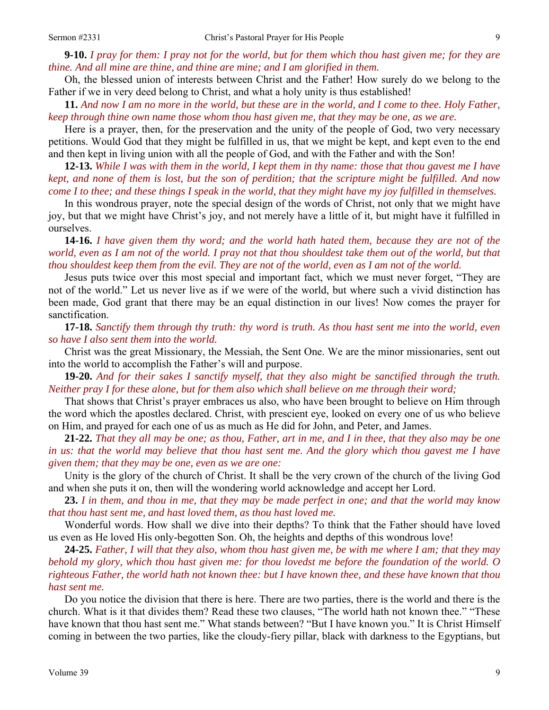**9-10.** *I pray for them: I pray not for the world, but for them which thou hast given me; for they are thine. And all mine are thine, and thine are mine; and I am glorified in them.*

Oh, the blessed union of interests between Christ and the Father! How surely do we belong to the Father if we in very deed belong to Christ, and what a holy unity is thus established!

**11.** *And now I am no more in the world, but these are in the world, and I come to thee. Holy Father, keep through thine own name those whom thou hast given me, that they may be one, as we are.*

Here is a prayer, then, for the preservation and the unity of the people of God, two very necessary petitions. Would God that they might be fulfilled in us, that we might be kept, and kept even to the end and then kept in living union with all the people of God, and with the Father and with the Son!

**12-13.** *While I was with them in the world, I kept them in thy name: those that thou gavest me I have kept, and none of them is lost, but the son of perdition; that the scripture might be fulfilled. And now come I to thee; and these things I speak in the world, that they might have my joy fulfilled in themselves.*

In this wondrous prayer, note the special design of the words of Christ, not only that we might have joy, but that we might have Christ's joy, and not merely have a little of it, but might have it fulfilled in ourselves.

**14-16.** *I have given them thy word; and the world hath hated them, because they are not of the world, even as I am not of the world. I pray not that thou shouldest take them out of the world, but that thou shouldest keep them from the evil. They are not of the world, even as I am not of the world.*

Jesus puts twice over this most special and important fact, which we must never forget, "They are not of the world." Let us never live as if we were of the world, but where such a vivid distinction has been made, God grant that there may be an equal distinction in our lives! Now comes the prayer for sanctification.

**17-18.** *Sanctify them through thy truth: thy word is truth. As thou hast sent me into the world, even so have I also sent them into the world.*

Christ was the great Missionary, the Messiah, the Sent One. We are the minor missionaries, sent out into the world to accomplish the Father's will and purpose.

**19-20.** *And for their sakes I sanctify myself, that they also might be sanctified through the truth. Neither pray I for these alone, but for them also which shall believe on me through their word;*

That shows that Christ's prayer embraces us also, who have been brought to believe on Him through the word which the apostles declared. Christ, with prescient eye, looked on every one of us who believe on Him, and prayed for each one of us as much as He did for John, and Peter, and James.

**21-22.** *That they all may be one; as thou, Father, art in me, and I in thee, that they also may be one in us: that the world may believe that thou hast sent me. And the glory which thou gavest me I have given them; that they may be one, even as we are one:*

Unity is the glory of the church of Christ. It shall be the very crown of the church of the living God and when she puts it on, then will the wondering world acknowledge and accept her Lord.

**23.** *I in them, and thou in me, that they may be made perfect in one; and that the world may know that thou hast sent me, and hast loved them, as thou hast loved me.*

Wonderful words. How shall we dive into their depths? To think that the Father should have loved us even as He loved His only-begotten Son. Oh, the heights and depths of this wondrous love!

**24-25.** *Father, I will that they also, whom thou hast given me, be with me where I am; that they may behold my glory, which thou hast given me: for thou lovedst me before the foundation of the world. O righteous Father, the world hath not known thee: but I have known thee, and these have known that thou hast sent me.*

Do you notice the division that there is here. There are two parties, there is the world and there is the church. What is it that divides them? Read these two clauses, "The world hath not known thee." "These have known that thou hast sent me." What stands between? "But I have known you." It is Christ Himself coming in between the two parties, like the cloudy-fiery pillar, black with darkness to the Egyptians, but